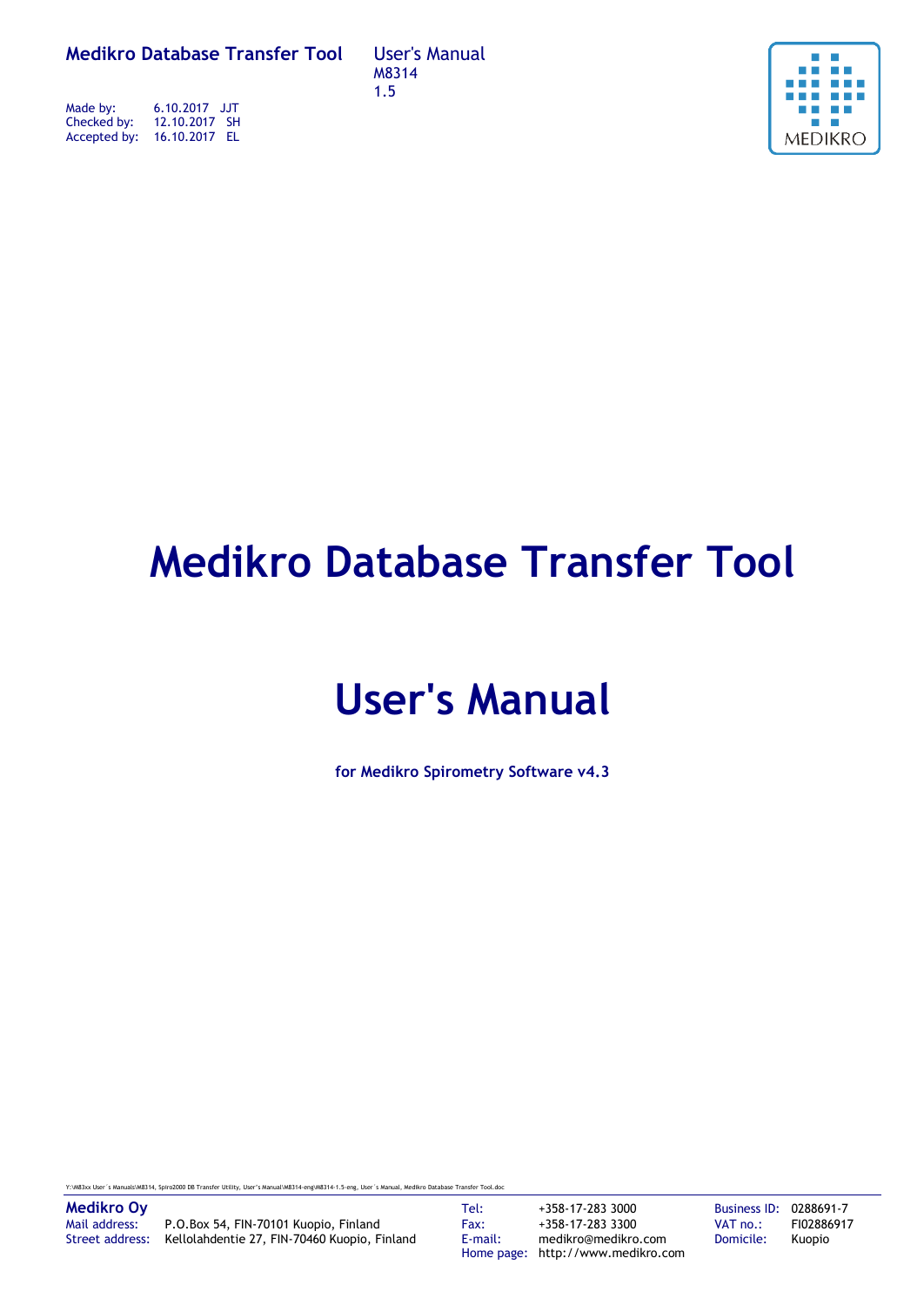**Medikro Database Transfer Tool** User's Manual

Made by: 6.10.2017 JJT Checked by: 12.10.2017 SH Accepted by: 16.10.2017 EL

M8314 1.5



# **Medikro Database Transfer Tool**

# **User's Manual**

**for Medikro Spirometry Software v4.3**

Y:\M83xx User´s Manuals\M8314, Spiro2000 DB Transfer Utility, User's Manual\M8314-eng\M8314-1.5-eng, User´s Manual, Medikro Database Transfer Tool.doc

Mail address: P.O.Box 54, FIN-70101 Kuopio, Finland Fax: +358-17-283 3300 VAT no.: FI02886917 Street address: Kellolahdentie 27, FIN-70460 Kuopio, Finland E-mail: medikro@medikro.com Domicile: Kuopio

**Medikro Oy** Tel: +358-17-283 3000 Business ID: 0288691-7 Home page: http://www.medikro.com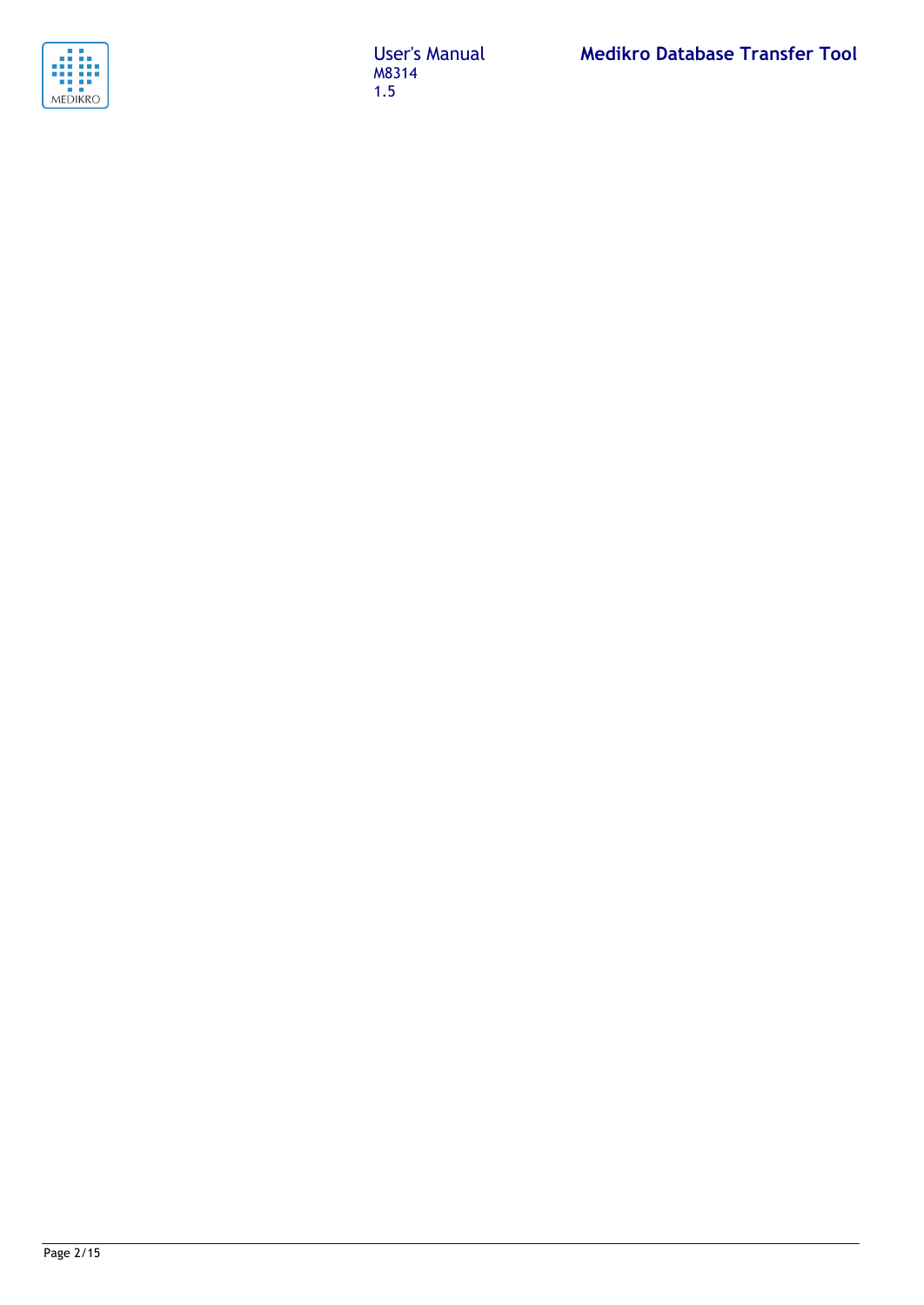

M8314 1.5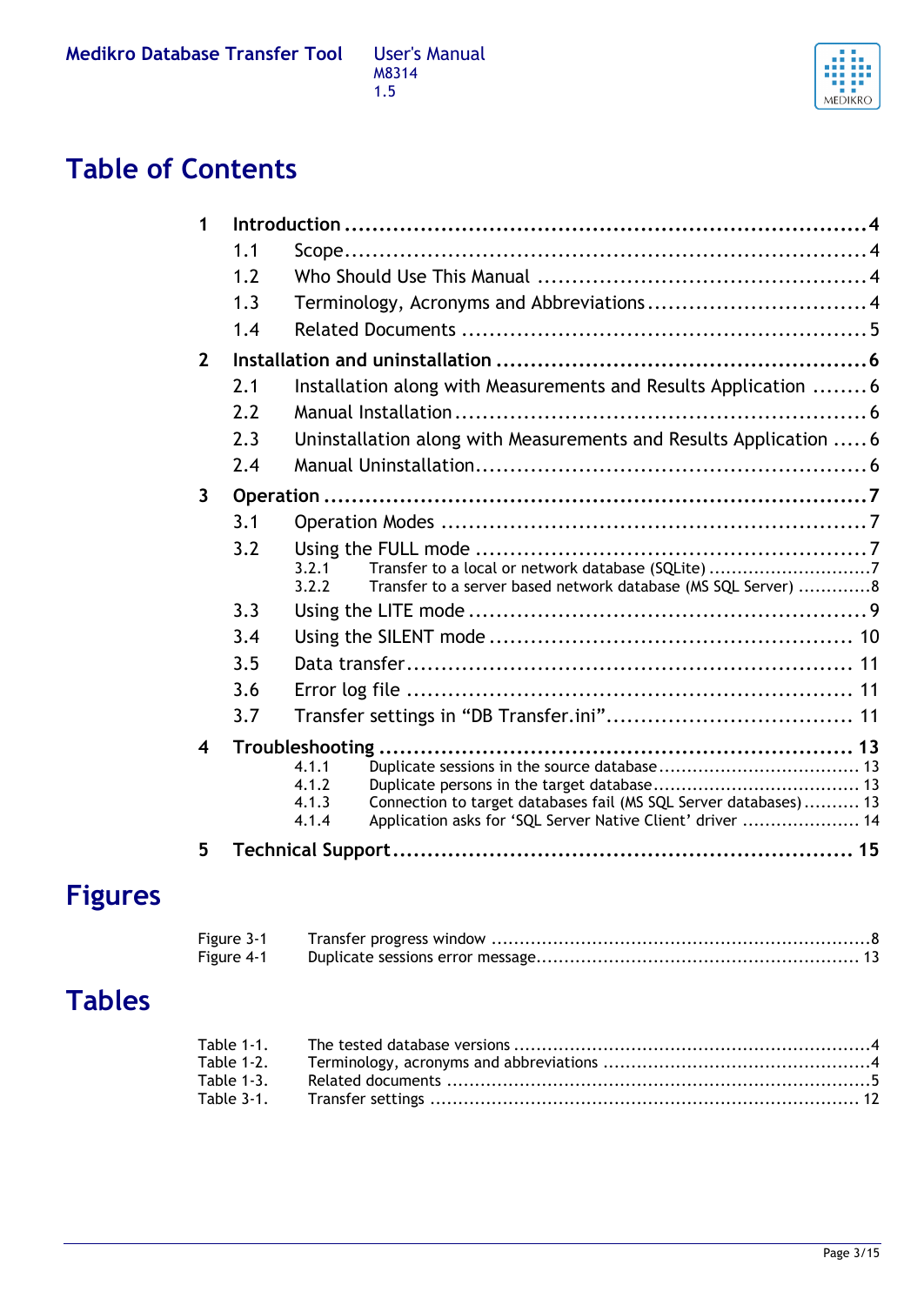**Medikro Database Transfer Tool** User's Manual

M8314 1.5



## **Table of Contents**

| 1                       |     |                                                                                                                                                  |  |
|-------------------------|-----|--------------------------------------------------------------------------------------------------------------------------------------------------|--|
|                         | 1.1 |                                                                                                                                                  |  |
|                         | 1.2 |                                                                                                                                                  |  |
|                         | 1.3 |                                                                                                                                                  |  |
|                         | 1.4 |                                                                                                                                                  |  |
| $\overline{2}$          |     |                                                                                                                                                  |  |
|                         | 2.1 | Installation along with Measurements and Results Application  6                                                                                  |  |
|                         | 2.2 |                                                                                                                                                  |  |
|                         | 2.3 | Uninstallation along with Measurements and Results Application  6                                                                                |  |
|                         | 2.4 |                                                                                                                                                  |  |
| $\overline{\mathbf{3}}$ |     |                                                                                                                                                  |  |
|                         | 3.1 |                                                                                                                                                  |  |
|                         | 3.2 |                                                                                                                                                  |  |
|                         |     | Transfer to a local or network database (SQLite) 7<br>3.2.1<br>3.2.2                                                                             |  |
|                         | 3.3 | Transfer to a server based network database (MS SQL Server)  8                                                                                   |  |
|                         | 3.4 |                                                                                                                                                  |  |
|                         | 3.5 |                                                                                                                                                  |  |
|                         | 3.6 |                                                                                                                                                  |  |
|                         | 3.7 |                                                                                                                                                  |  |
| 4                       |     |                                                                                                                                                  |  |
|                         |     | 4.1.1                                                                                                                                            |  |
|                         |     | 4.1.2                                                                                                                                            |  |
|                         |     | Connection to target databases fail (MS SQL Server databases) 13<br>4.1.3<br>4.1.4<br>Application asks for 'SQL Server Native Client' driver  14 |  |
|                         |     |                                                                                                                                                  |  |
| 5                       |     |                                                                                                                                                  |  |

## **Figures**

## **Tables**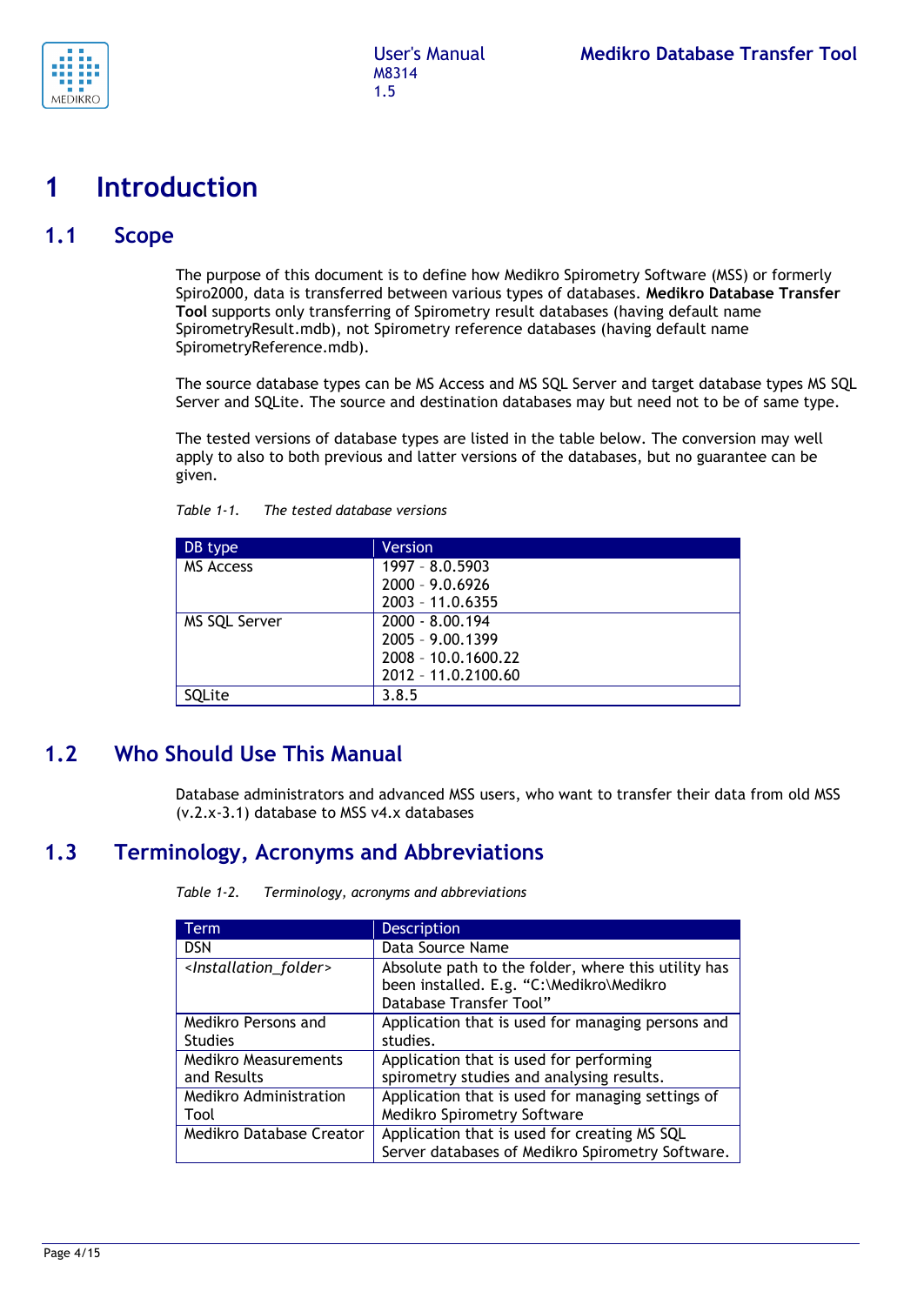

## <span id="page-3-0"></span>**1 Introduction**

## <span id="page-3-1"></span>**1.1 Scope**

The purpose of this document is to define how Medikro Spirometry Software (MSS) or formerly Spiro2000, data is transferred between various types of databases. **Medikro Database Transfer Tool** supports only transferring of Spirometry result databases (having default name SpirometryResult.mdb), not Spirometry reference databases (having default name SpirometryReference.mdb).

The source database types can be MS Access and MS SQL Server and target database types MS SQL Server and SQLite. The source and destination databases may but need not to be of same type.

The tested versions of database types are listed in the table below. The conversion may well apply to also to both previous and latter versions of the databases, but no guarantee can be given.

| DB type          | Version             |
|------------------|---------------------|
| <b>MS Access</b> | 1997 - 8.0.5903     |
|                  | 2000 - 9.0.6926     |
|                  | 2003 - 11.0.6355    |
| MS SQL Server    | 2000 - 8.00.194     |
|                  | 2005 - 9.00.1399    |
|                  | 2008 - 10.0.1600.22 |
|                  | 2012 - 11.0.2100.60 |
| SQLite           | 3.8.5               |

<span id="page-3-4"></span>*Table 1-1. The tested database versions*

## <span id="page-3-2"></span>**1.2 Who Should Use This Manual**

Database administrators and advanced MSS users, who want to transfer their data from old MSS (v.2.x-3.1) database to MSS v4.x databases

## <span id="page-3-5"></span><span id="page-3-3"></span>**1.3 Terminology, Acronyms and Abbreviations**

| Term                                        | <b>Description</b>                                                                                                         |
|---------------------------------------------|----------------------------------------------------------------------------------------------------------------------------|
| <b>DSN</b>                                  | Data Source Name                                                                                                           |
| <installation_folder></installation_folder> | Absolute path to the folder, where this utility has<br>been installed. E.g. "C:\Medikro\Medikro<br>Database Transfer Tool" |
| Medikro Persons and<br><b>Studies</b>       | Application that is used for managing persons and<br>studies.                                                              |
| <b>Medikro Measurements</b><br>and Results  | Application that is used for performing<br>spirometry studies and analysing results.                                       |
| <b>Medikro Administration</b><br>Tool       | Application that is used for managing settings of<br>Medikro Spirometry Software                                           |
| Medikro Database Creator                    | Application that is used for creating MS SQL<br>Server databases of Medikro Spirometry Software.                           |

*Table 1-2. Terminology, acronyms and abbreviations*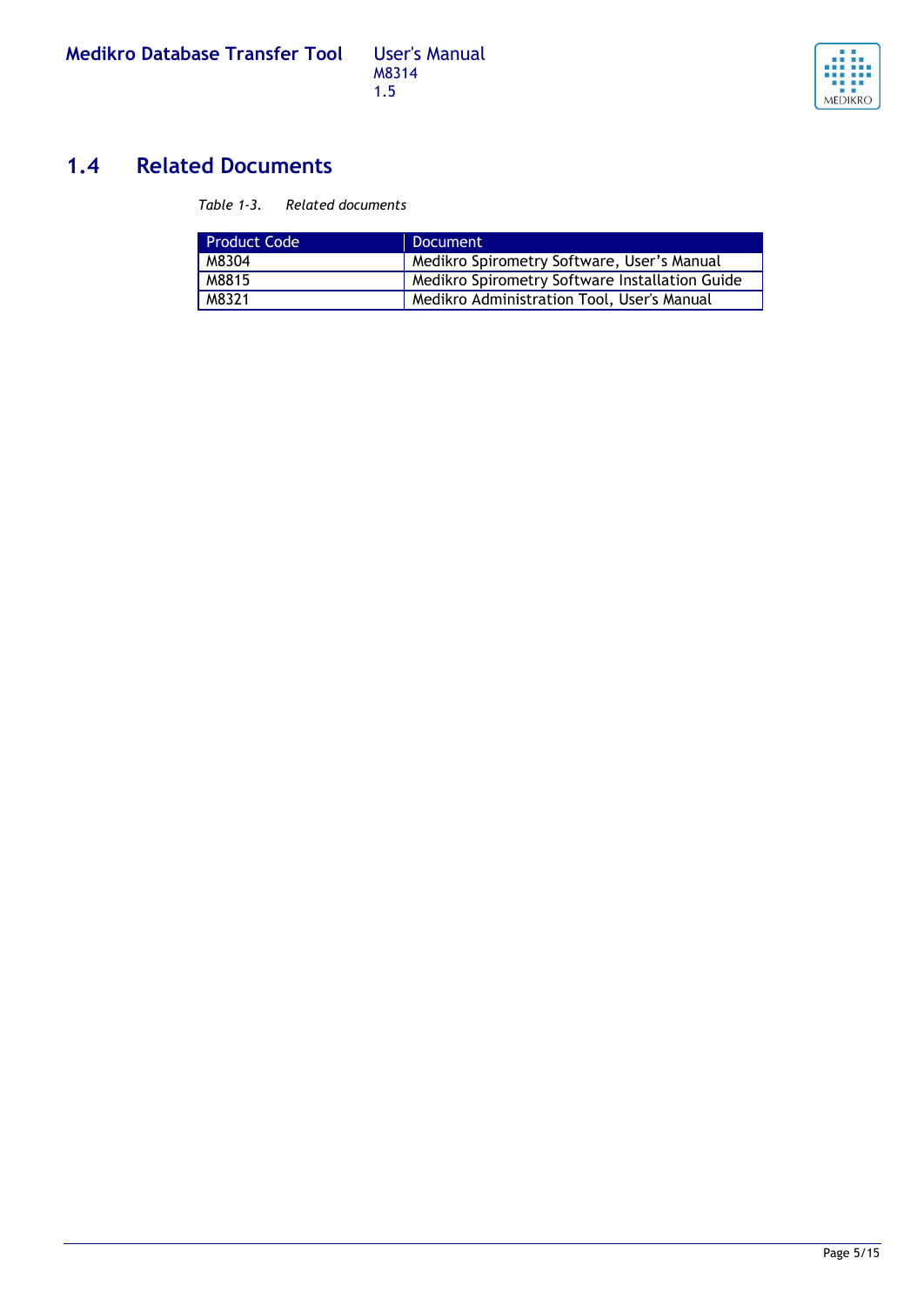

## <span id="page-4-1"></span><span id="page-4-0"></span>**1.4 Related Documents**

*Table 1-3. Related documents*

| <b>Product Code</b> | Document                                       |
|---------------------|------------------------------------------------|
| M8304               | Medikro Spirometry Software, User's Manual     |
| M8815               | Medikro Spirometry Software Installation Guide |
| M8321               | Medikro Administration Tool, User's Manual     |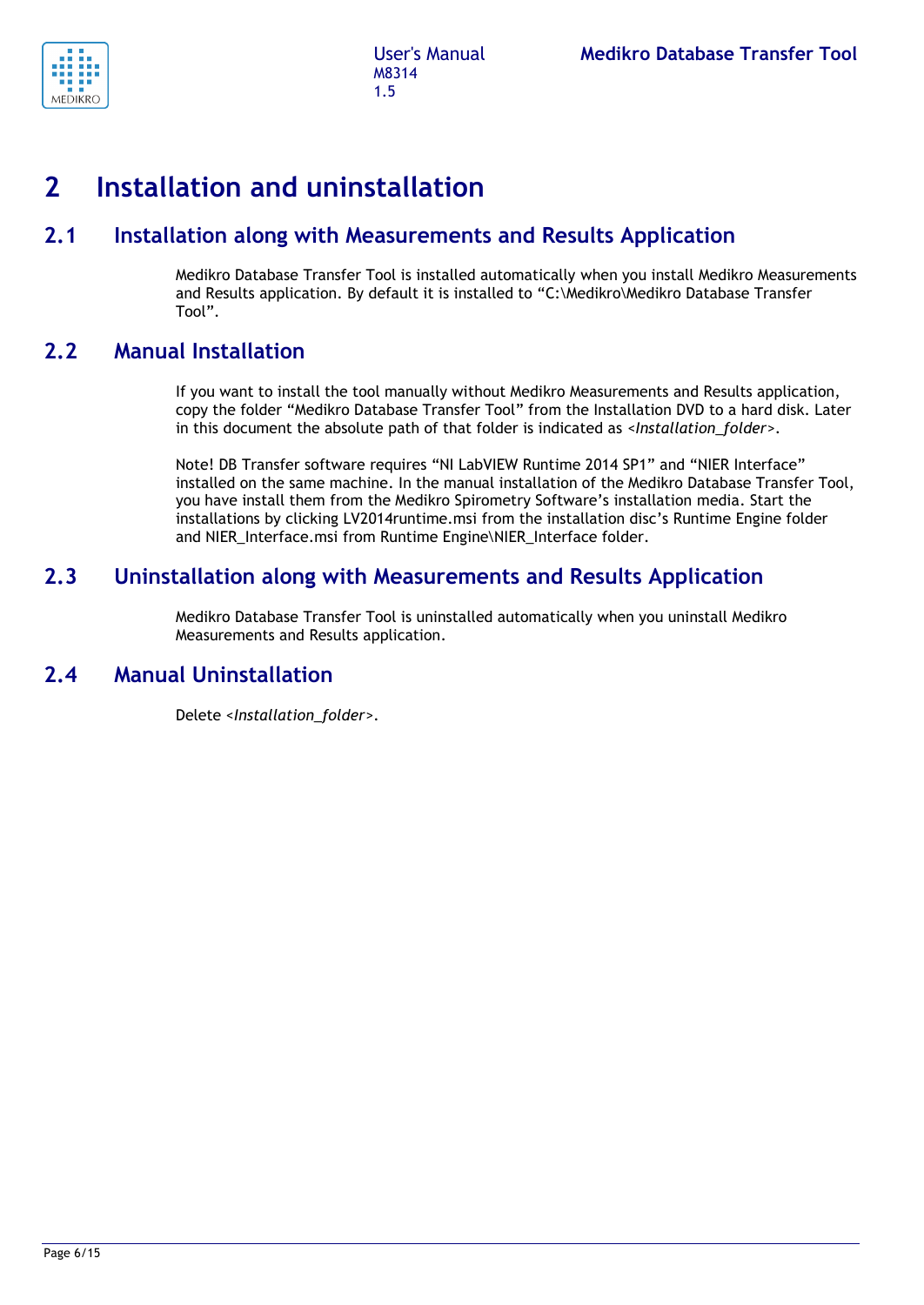

## <span id="page-5-0"></span>**2 Installation and uninstallation**

## <span id="page-5-1"></span>**2.1 Installation along with Measurements and Results Application**

Medikro Database Transfer Tool is installed automatically when you install Medikro Measurements and Results application. By default it is installed to "C:\Medikro\Medikro Database Transfer Tool".

## <span id="page-5-2"></span>**2.2 Manual Installation**

If you want to install the tool manually without Medikro Measurements and Results application, copy the folder "Medikro Database Transfer Tool" from the Installation DVD to a hard disk. Later in this document the absolute path of that folder is indicated as *<Installation\_folder>*.

Note! DB Transfer software requires "NI LabVIEW Runtime 2014 SP1" and "NIER Interface" installed on the same machine. In the manual installation of the Medikro Database Transfer Tool, you have install them from the Medikro Spirometry Software's installation media. Start the installations by clicking LV2014runtime.msi from the installation disc's Runtime Engine folder and NIER\_Interface.msi from Runtime Engine\NIER\_Interface folder.

## <span id="page-5-3"></span>**2.3 Uninstallation along with Measurements and Results Application**

Medikro Database Transfer Tool is uninstalled automatically when you uninstall Medikro Measurements and Results application.

### <span id="page-5-4"></span>**2.4 Manual Uninstallation**

Delete *<Installation\_folder>*.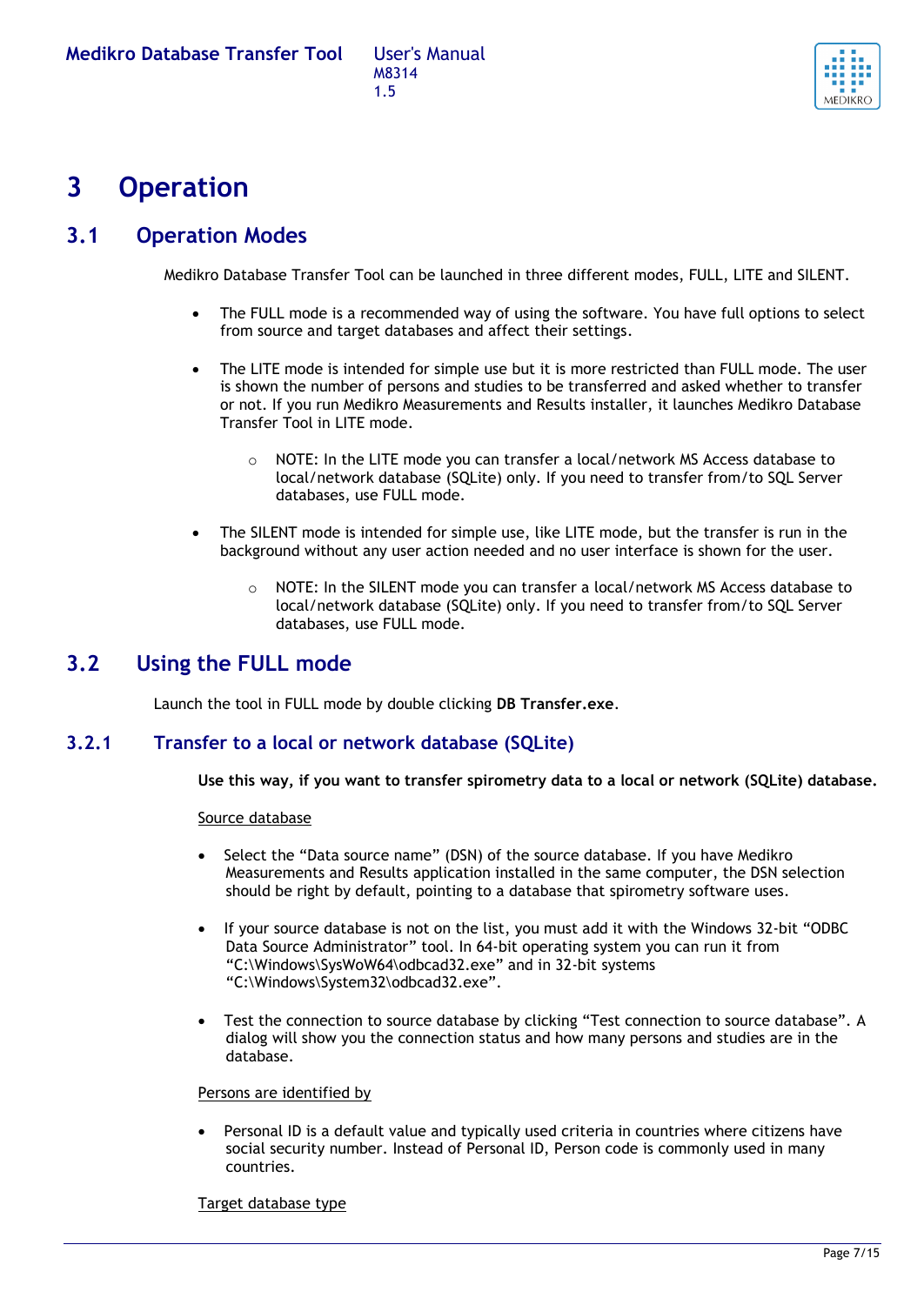M8314 1.5



## <span id="page-6-0"></span>**3 Operation**

### <span id="page-6-1"></span>**3.1 Operation Modes**

Medikro Database Transfer Tool can be launched in three different modes, FULL, LITE and SILENT.

- The FULL mode is a recommended way of using the software. You have full options to select from source and target databases and affect their settings.
- The LITE mode is intended for simple use but it is more restricted than FULL mode. The user is shown the number of persons and studies to be transferred and asked whether to transfer or not. If you run Medikro Measurements and Results installer, it launches Medikro Database Transfer Tool in LITE mode.
	- o NOTE: In the LITE mode you can transfer a local/network MS Access database to local/network database (SQLite) only. If you need to transfer from/to SQL Server databases, use FULL mode.
- The SILENT mode is intended for simple use, like LITE mode, but the transfer is run in the background without any user action needed and no user interface is shown for the user.
	- $\circ$  NOTE: In the SILENT mode you can transfer a local/network MS Access database to local/network database (SQLite) only. If you need to transfer from/to SQL Server databases, use FULL mode.

## <span id="page-6-2"></span>**3.2 Using the FULL mode**

Launch the tool in FULL mode by double clicking **DB Transfer.exe**.

#### <span id="page-6-3"></span>**3.2.1 Transfer to a local or network database (SQLite)**

**Use this way, if you want to transfer spirometry data to a local or network (SQLite) database.**

#### Source database

- Select the "Data source name" (DSN) of the source database. If you have Medikro Measurements and Results application installed in the same computer, the DSN selection should be right by default, pointing to a database that spirometry software uses.
- If your source database is not on the list, you must add it with the Windows 32-bit "ODBC Data Source Administrator" tool. In 64-bit operating system you can run it from "C:\Windows\SysWoW64\odbcad32.exe" and in 32-bit systems "C:\Windows\System32\odbcad32.exe".
- Test the connection to source database by clicking "Test connection to source database". A dialog will show you the connection status and how many persons and studies are in the database.

#### Persons are identified by

 Personal ID is a default value and typically used criteria in countries where citizens have social security number. Instead of Personal ID, Person code is commonly used in many countries.

#### Target database type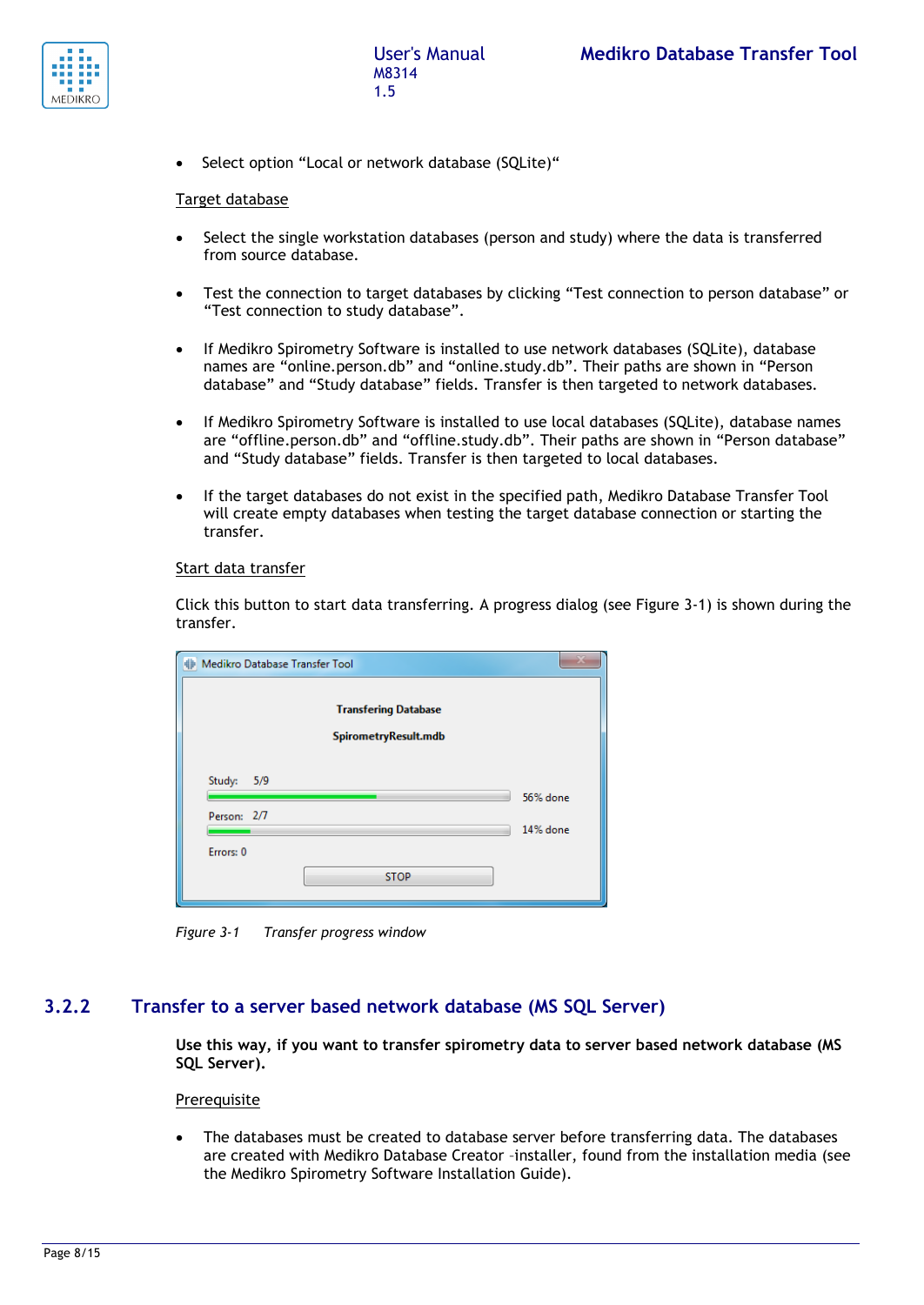

• Select option "Local or network database (SQLite)"

#### Target database

- Select the single workstation databases (person and study) where the data is transferred from source database.
- Test the connection to target databases by clicking "Test connection to person database" or "Test connection to study database".
- If Medikro Spirometry Software is installed to use network databases (SQLite), database names are "online.person.db" and "online.study.db". Their paths are shown in "Person database" and "Study database" fields. Transfer is then targeted to network databases.
- If Medikro Spirometry Software is installed to use local databases (SQLite), database names are "offline.person.db" and "offline.study.db". Their paths are shown in "Person database" and "Study database" fields. Transfer is then targeted to local databases.
- If the target databases do not exist in the specified path, Medikro Database Transfer Tool will create empty databases when testing the target database connection or starting the transfer.

#### Start data transfer

Click this button to start data transferring. A progress dialog (see [Figure 3-1\)](#page-7-1) is shown during the transfer.

| Medikro Database Transfer Tool |                                                     |  |          |  |
|--------------------------------|-----------------------------------------------------|--|----------|--|
|                                | <b>Transfering Database</b><br>SpirometryResult.mdb |  |          |  |
| Study:                         | - 5/9                                               |  | 56% done |  |
| Person: 2/7                    |                                                     |  | 14% done |  |
| Errors: 0                      | <b>STOP</b>                                         |  |          |  |
|                                |                                                     |  |          |  |

*Figure 3-1 Transfer progress window*

### <span id="page-7-1"></span><span id="page-7-0"></span>**3.2.2 Transfer to a server based network database (MS SQL Server)**

**Use this way, if you want to transfer spirometry data to server based network database (MS SQL Server).**

#### **Prerequisite**

• The databases must be created to database server before transferring data. The databases are created with Medikro Database Creator –installer, found from the installation media (see the Medikro Spirometry Software Installation Guide).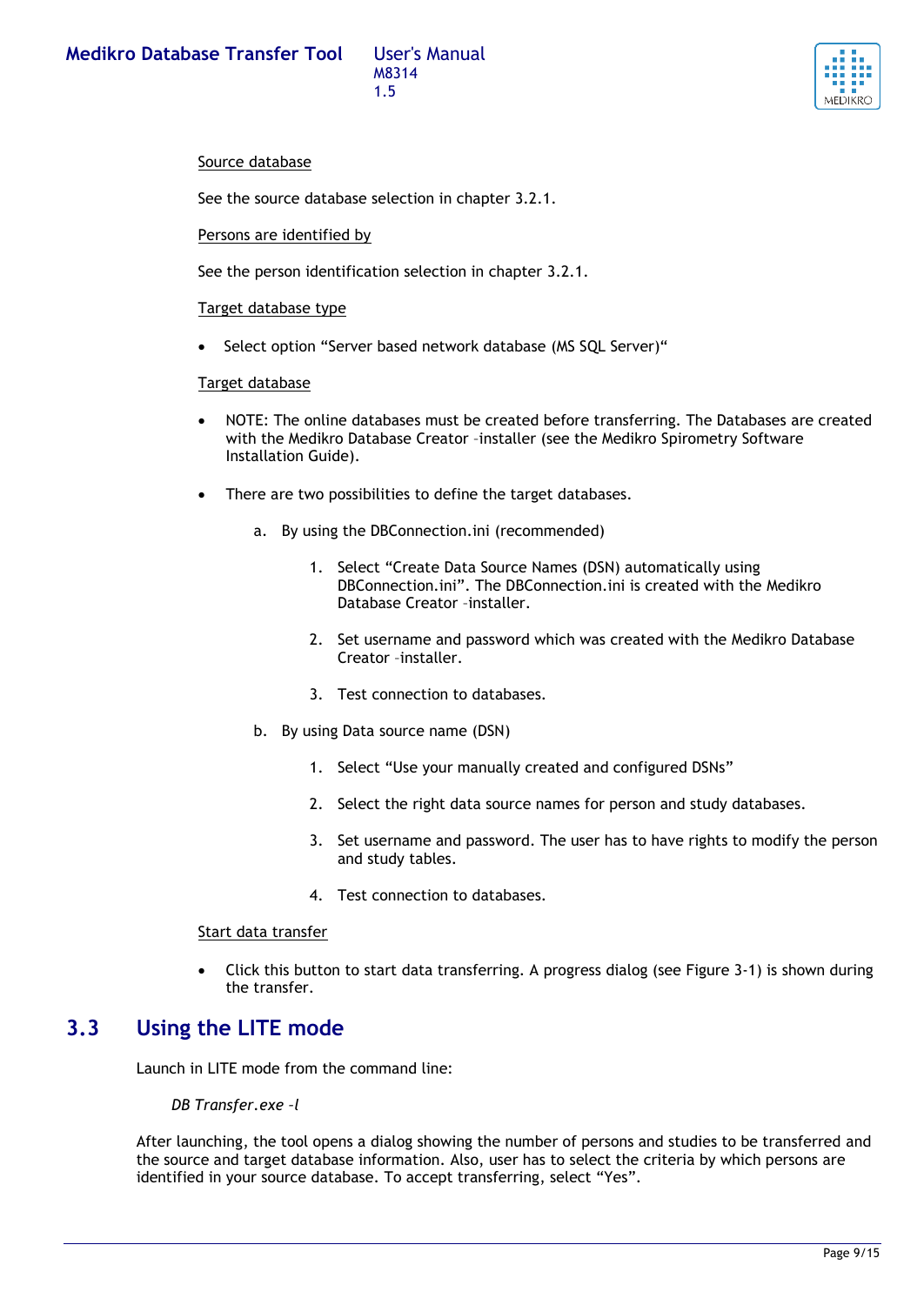

#### Source database

See the source database selection in chapter [3.2.1.](#page-6-3)

Persons are identified by

See the person identification selection in chapter [3.2.1.](#page-6-3)

#### Target database type

• Select option "Server based network database (MS SQL Server)"

#### Target database

- NOTE: The online databases must be created before transferring. The Databases are created with the Medikro Database Creator –installer (see the Medikro Spirometry Software Installation Guide).
- There are two possibilities to define the target databases.
	- a. By using the DBConnection.ini (recommended)
		- 1. Select "Create Data Source Names (DSN) automatically using DBConnection.ini". The DBConnection.ini is created with the Medikro Database Creator –installer.
		- 2. Set username and password which was created with the Medikro Database Creator –installer.
		- 3. Test connection to databases.
	- b. By using Data source name (DSN)
		- 1. Select "Use your manually created and configured DSNs"
		- 2. Select the right data source names for person and study databases.
		- 3. Set username and password. The user has to have rights to modify the person and study tables.
		- 4. Test connection to databases.

#### Start data transfer

 Click this button to start data transferring. A progress dialog (see [Figure 3-1\)](#page-7-1) is shown during the transfer.

### <span id="page-8-0"></span>**3.3 Using the LITE mode**

Launch in LITE mode from the command line:

*DB Transfer.exe –l*

After launching, the tool opens a dialog showing the number of persons and studies to be transferred and the source and target database information. Also, user has to select the criteria by which persons are identified in your source database. To accept transferring, select "Yes".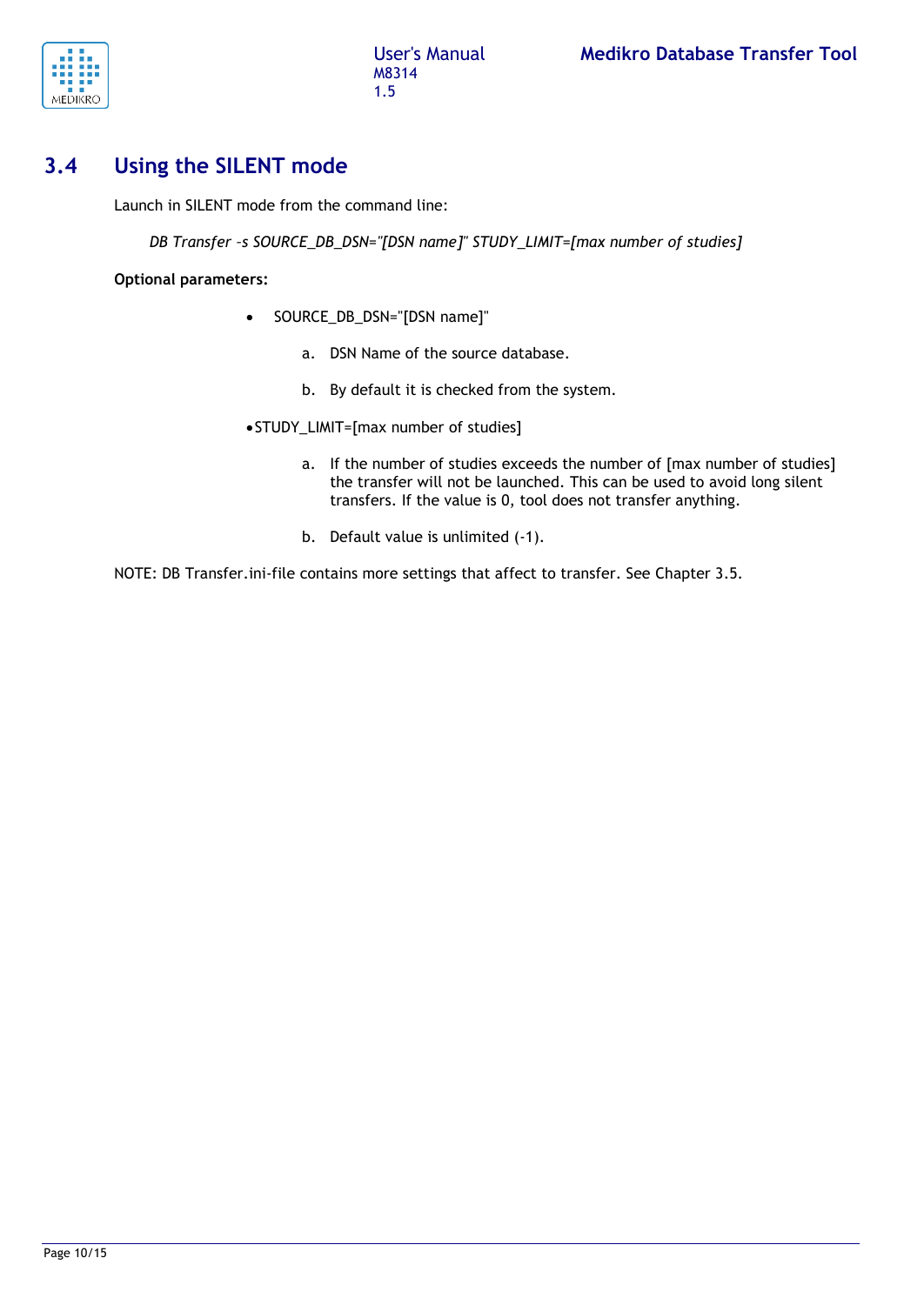

## <span id="page-9-0"></span>**3.4 Using the SILENT mode**

Launch in SILENT mode from the command line:

*DB Transfer –s SOURCE\_DB\_DSN="[DSN name]" STUDY\_LIMIT=[max number of studies]*

#### **Optional parameters:**

- SOURCE\_DB\_DSN="[DSN name]"
	- a. DSN Name of the source database.
	- b. By default it is checked from the system.

STUDY\_LIMIT=[max number of studies]

- a. If the number of studies exceeds the number of [max number of studies] the transfer will not be launched. This can be used to avoid long silent transfers. If the value is 0, tool does not transfer anything.
- b. Default value is unlimited (-1).

NOTE: DB Transfer.ini-file contains more settings that affect to transfer. See Chapter [3.5.](#page-10-0)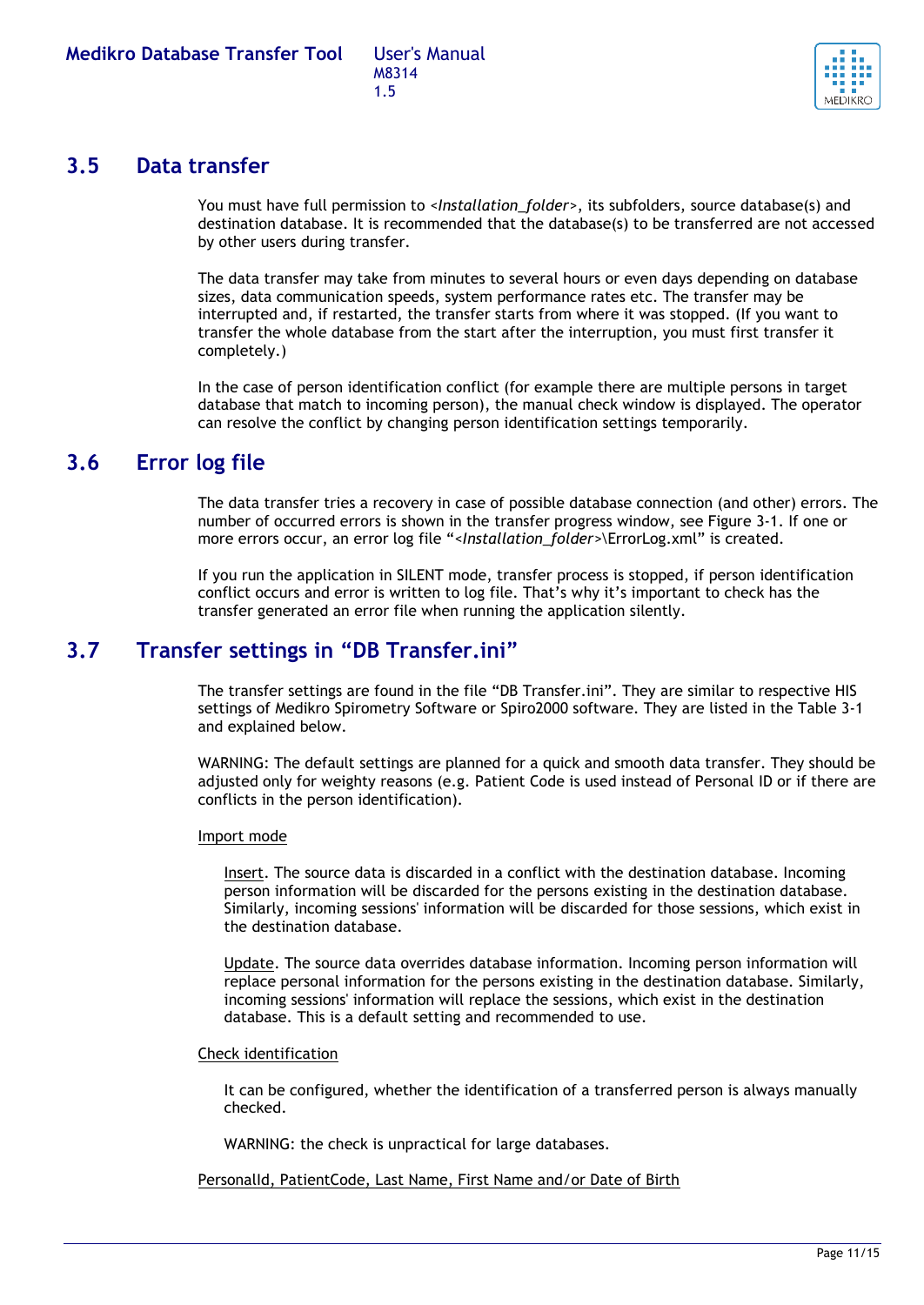M8314 1.5



### <span id="page-10-0"></span>**3.5 Data transfer**

You must have full permission to <*Installation\_folder>*, its subfolders, source database(s) and destination database. It is recommended that the database(s) to be transferred are not accessed by other users during transfer.

The data transfer may take from minutes to several hours or even days depending on database sizes, data communication speeds, system performance rates etc. The transfer may be interrupted and, if restarted, the transfer starts from where it was stopped. (If you want to transfer the whole database from the start after the interruption, you must first transfer it completely.)

In the case of person identification conflict (for example there are multiple persons in target database that match to incoming person), the manual check window is displayed. The operator can resolve the conflict by changing person identification settings temporarily.

### <span id="page-10-1"></span>**3.6 Error log file**

The data transfer tries a recovery in case of possible database connection (and other) errors. The number of occurred errors is shown in the transfer progress window, see [Figure 3-1.](#page-7-1) If one or more errors occur, an error log file "*<Installation\_folder>*\ErrorLog.xml" is created.

If you run the application in SILENT mode, transfer process is stopped, if person identification conflict occurs and error is written to log file. That's why it's important to check has the transfer generated an error file when running the application silently.

### <span id="page-10-2"></span>**3.7 Transfer settings in "DB Transfer.ini"**

The transfer settings are found in the file "DB Transfer.ini". They are similar to respective HIS settings of Medikro Spirometry Software or Spiro2000 software. They are listed in the [Table 3-1](#page-11-0) and explained below.

WARNING: The default settings are planned for a quick and smooth data transfer. They should be adjusted only for weighty reasons (e.g. Patient Code is used instead of Personal ID or if there are conflicts in the person identification).

#### Import mode

Insert. The source data is discarded in a conflict with the destination database. Incoming person information will be discarded for the persons existing in the destination database. Similarly, incoming sessions' information will be discarded for those sessions, which exist in the destination database.

Update. The source data overrides database information. Incoming person information will replace personal information for the persons existing in the destination database. Similarly, incoming sessions' information will replace the sessions, which exist in the destination database. This is a default setting and recommended to use.

#### Check identification

It can be configured, whether the identification of a transferred person is always manually checked.

WARNING: the check is unpractical for large databases.

#### PersonalId, PatientCode, Last Name, First Name and/or Date of Birth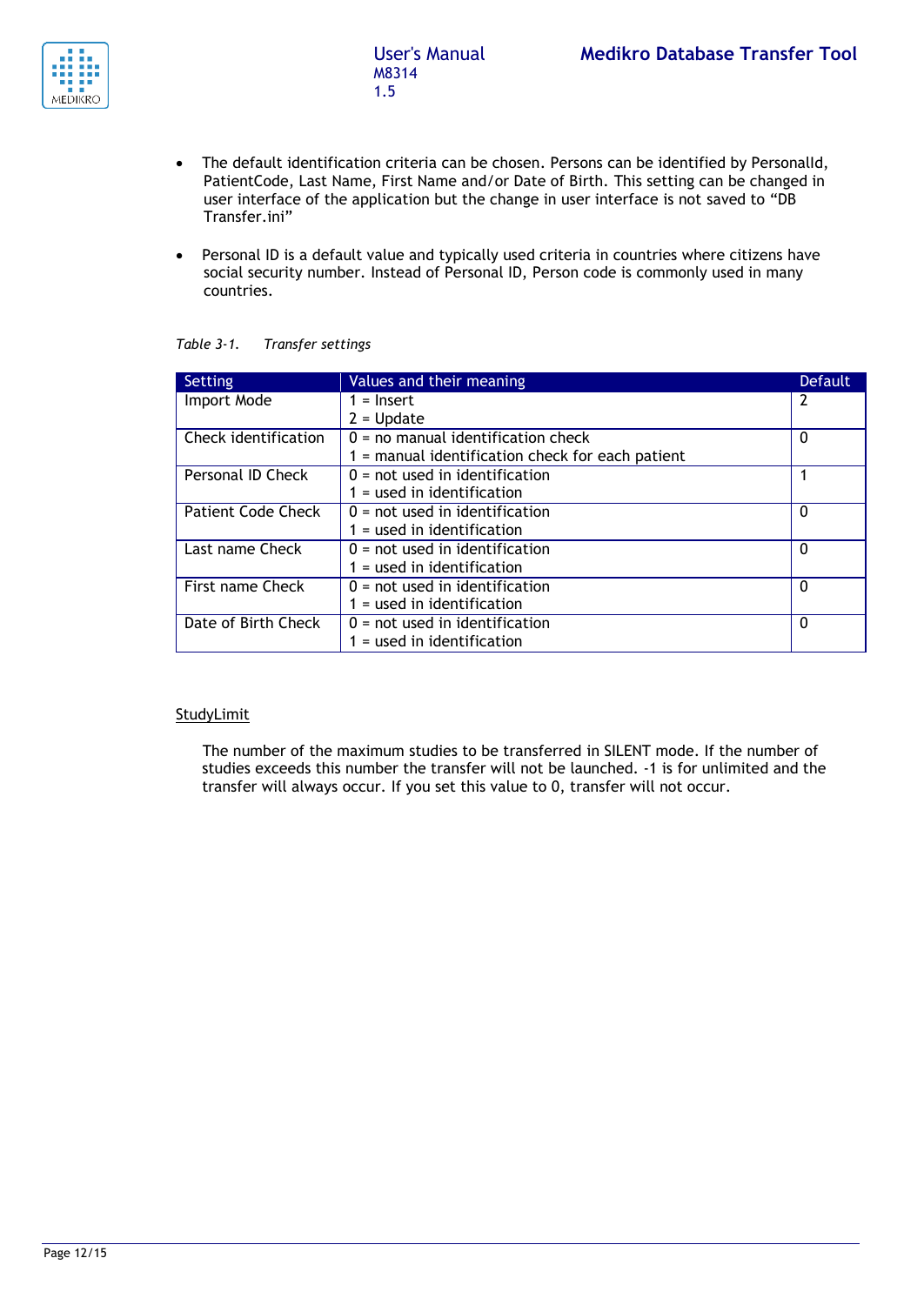

- The default identification criteria can be chosen. Persons can be identified by PersonalId, PatientCode, Last Name, First Name and/or Date of Birth. This setting can be changed in user interface of the application but the change in user interface is not saved to "DB Transfer.ini"
- Personal ID is a default value and typically used criteria in countries where citizens have social security number. Instead of Personal ID, Person code is commonly used in many countries.

| Setting                   | Values and their meaning                         | <b>Default</b> |
|---------------------------|--------------------------------------------------|----------------|
| Import Mode               | $=$ Insert                                       | 2              |
|                           | $2 = Update$                                     |                |
| Check identification      | $0 = no$ manual identification check             | 0              |
|                           | 1 = manual identification check for each patient |                |
| Personal ID Check         | $0 =$ not used in identification                 |                |
|                           | $1 =$ used in identification                     |                |
| <b>Patient Code Check</b> | $0 =$ not used in identification                 | 0              |
|                           | $1 =$ used in identification                     |                |
| Last name Check           | $0 =$ not used in identification                 | 0              |
|                           | $1 =$ used in identification                     |                |
| First name Check          | $0 =$ not used in identification                 | 0              |
|                           | $1 =$ used in identification                     |                |
| Date of Birth Check       | $0 = not used in identification$                 | $\Omega$       |
|                           | $1 =$ used in identification                     |                |

<span id="page-11-0"></span>

#### **StudyLimit**

The number of the maximum studies to be transferred in SILENT mode. If the number of studies exceeds this number the transfer will not be launched. -1 is for unlimited and the transfer will always occur. If you set this value to 0, transfer will not occur.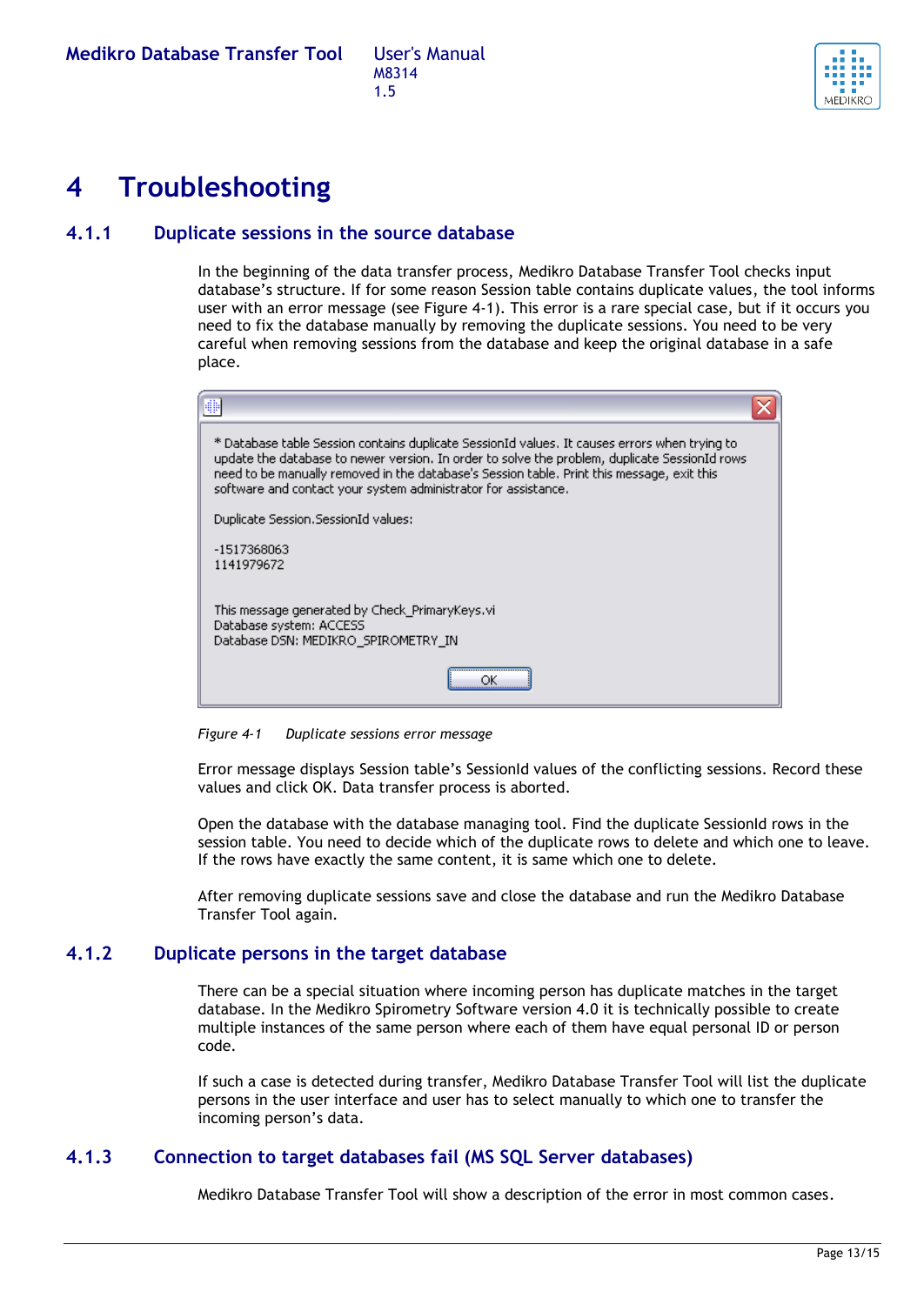**Medikro Database Transfer Tool** User's Manual

M8314 1.5



## <span id="page-12-0"></span>**4 Troubleshooting**

#### <span id="page-12-1"></span>**4.1.1 Duplicate sessions in the source database**

In the beginning of the data transfer process, Medikro Database Transfer Tool checks input database's structure. If for some reason Session table contains duplicate values, the tool informs user with an error message (see [Figure 4-1\)](#page-12-4). This error is a rare special case, but if it occurs you need to fix the database manually by removing the duplicate sessions. You need to be very careful when removing sessions from the database and keep the original database in a safe place.

| Φ                                                                                                                                                                                                                                                                                                                                                              |  |  |
|----------------------------------------------------------------------------------------------------------------------------------------------------------------------------------------------------------------------------------------------------------------------------------------------------------------------------------------------------------------|--|--|
| * Database table Session contains duplicate SessionId values. It causes errors when trying to<br>update the database to newer version. In order to solve the problem, duplicate SessionId rows<br>need to be manually removed in the database's Session table. Print this message, exit this<br>software and contact your system administrator for assistance. |  |  |
| Duplicate Session. SessionId values:                                                                                                                                                                                                                                                                                                                           |  |  |
| -1517368063<br>1141979672                                                                                                                                                                                                                                                                                                                                      |  |  |
| This message generated by Check_PrimaryKeys.vi<br>Database system: ACCESS<br>Database DSN: MEDIKRO SPIROMETRY IN                                                                                                                                                                                                                                               |  |  |
|                                                                                                                                                                                                                                                                                                                                                                |  |  |

<span id="page-12-4"></span>*Figure 4-1 Duplicate sessions error message*

Error message displays Session table's SessionId values of the conflicting sessions. Record these values and click OK. Data transfer process is aborted.

Open the database with the database managing tool. Find the duplicate SessionId rows in the session table. You need to decide which of the duplicate rows to delete and which one to leave. If the rows have exactly the same content, it is same which one to delete.

After removing duplicate sessions save and close the database and run the Medikro Database Transfer Tool again.

#### <span id="page-12-2"></span>**4.1.2 Duplicate persons in the target database**

There can be a special situation where incoming person has duplicate matches in the target database. In the Medikro Spirometry Software version 4.0 it is technically possible to create multiple instances of the same person where each of them have equal personal ID or person code.

If such a case is detected during transfer, Medikro Database Transfer Tool will list the duplicate persons in the user interface and user has to select manually to which one to transfer the incoming person's data.

#### <span id="page-12-3"></span>**4.1.3 Connection to target databases fail (MS SQL Server databases)**

Medikro Database Transfer Tool will show a description of the error in most common cases.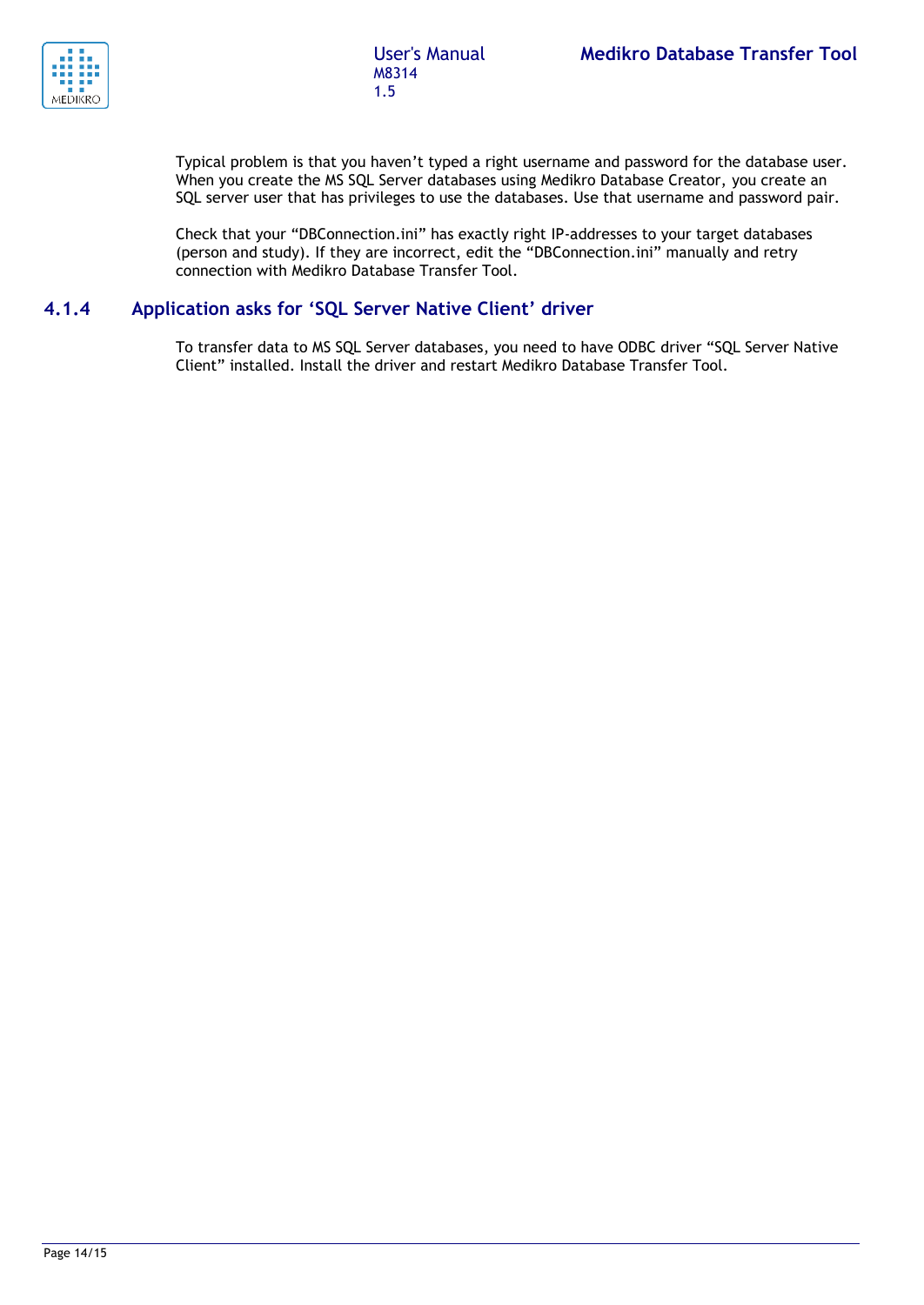Typical problem is that you haven't typed a right username and password for the database user. When you create the MS SQL Server databases using Medikro Database Creator, you create an SQL server user that has privileges to use the databases. Use that username and password pair.

Check that your "DBConnection.ini" has exactly right IP-addresses to your target databases (person and study). If they are incorrect, edit the "DBConnection.ini" manually and retry connection with Medikro Database Transfer Tool.

#### <span id="page-13-0"></span>**4.1.4 Application asks for 'SQL Server Native Client' driver**

To transfer data to MS SQL Server databases, you need to have ODBC driver "SQL Server Native Client" installed. Install the driver and restart Medikro Database Transfer Tool.